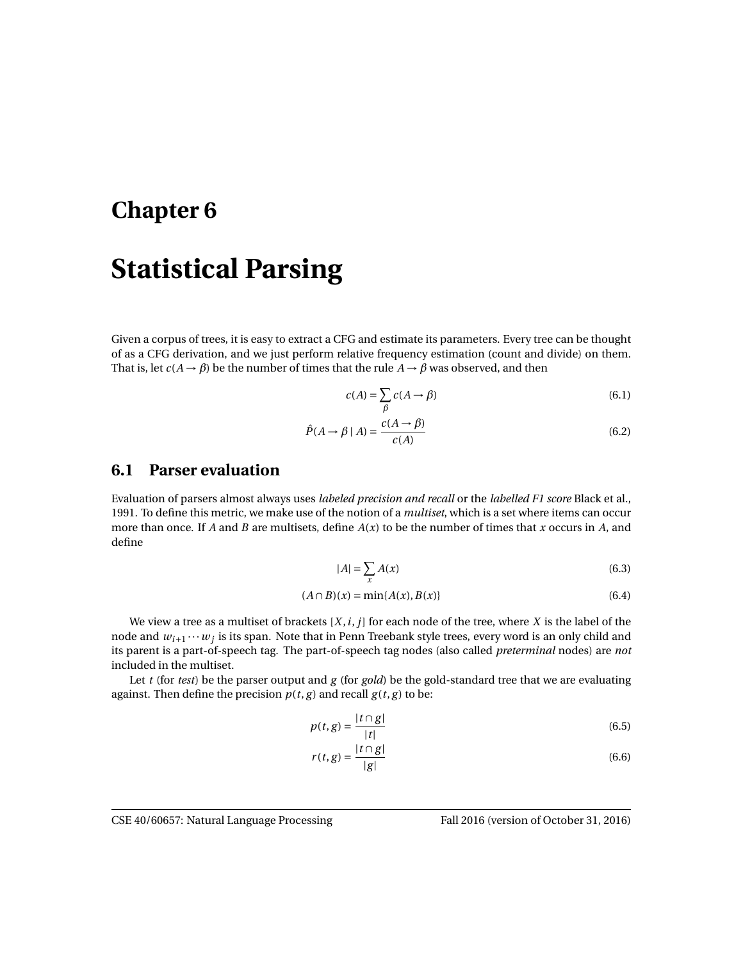# **Chapter 6**

# **Statistical Parsing**

Given a corpus of trees, it is easy to extract a CFG and estimate its parameters. Every tree can be thought of as a CFG derivation, and we just perform relative frequency estimation (count and divide) on them. That is, let  $c(A \rightarrow \beta)$  be the number of times that the rule  $A \rightarrow \beta$  was observed, and then

$$
c(A) = \sum_{\beta} c(A \to \beta) \tag{6.1}
$$

$$
\hat{P}(A \to \beta \mid A) = \frac{c(A \to \beta)}{c(A)}\tag{6.2}
$$

### **6.1 Parser evaluation**

Evaluation of parsers almost always uses *labeled precision and recall* or the *labelled F1 score* Black et al., 1991. To define this metric, we make use of the notion of a *multiset*, which is a set where items can occur more than once. If *A* and *B* are multisets, define *A*(*x*) to be the number of times that *x* occurs in *A*, and define

$$
|A| = \sum_{x} A(x) \tag{6.3}
$$

$$
(A \cap B)(x) = \min\{A(x), B(x)\}\tag{6.4}
$$

We view a tree as a multiset of brackets [*X*,*i*, *j*] for each node of the tree, where *X* is the label of the node and  $w_{i+1} \cdots w_j$  is its span. Note that in Penn Treebank style trees, every word is an only child and its parent is a part-of-speech tag. The part-of-speech tag nodes (also called *preterminal* nodes) are *not* included in the multiset.

Let *t* (for *test*) be the parser output and *g* (for *gold*) be the gold-standard tree that we are evaluating against. Then define the precision  $p(t, g)$  and recall  $g(t, g)$  to be:

$$
p(t,g) = \frac{|t \cap g|}{|t|} \tag{6.5}
$$

$$
r(t,g) = \frac{|t \cap g|}{|g|} \tag{6.6}
$$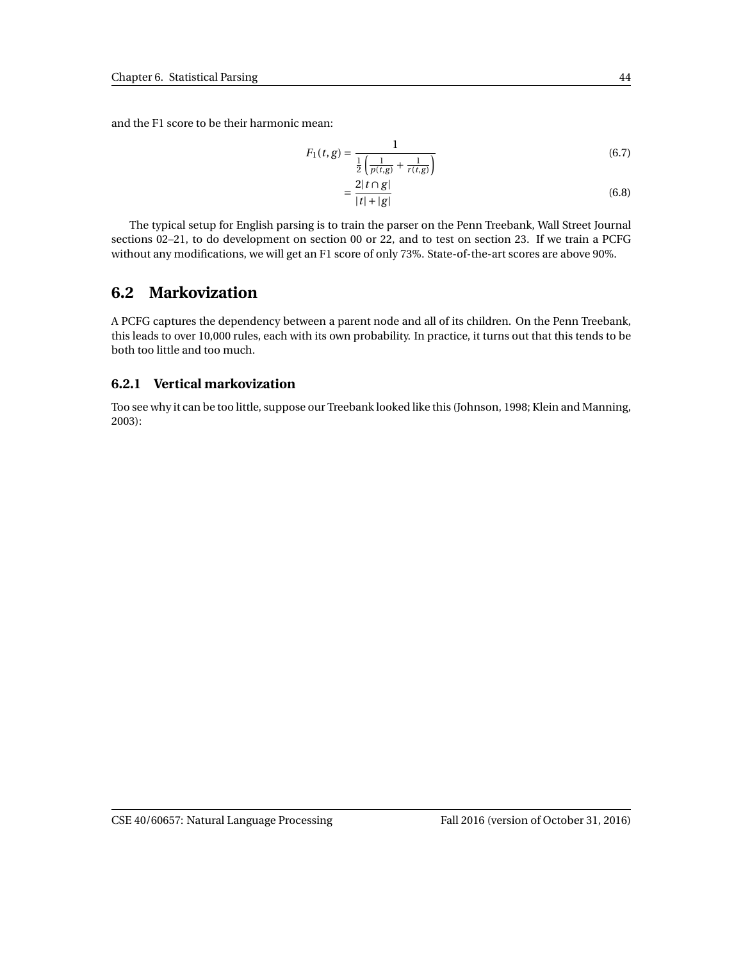and the F1 score to be their harmonic mean:

$$
F_1(t,g) = \frac{1}{\frac{1}{2} \left( \frac{1}{p(t,g)} + \frac{1}{r(t,g)} \right)}
$$
(6.7)

$$
=\frac{2|t\cap g|}{|t|+|g|}\tag{6.8}
$$

The typical setup for English parsing is to train the parser on the Penn Treebank, Wall Street Journal sections 02–21, to do development on section 00 or 22, and to test on section 23. If we train a PCFG without any modifications, we will get an F1 score of only 73%. State-of-the-art scores are above 90%.

#### **6.2 Markovization**

A PCFG captures the dependency between a parent node and all of its children. On the Penn Treebank, this leads to over 10,000 rules, each with its own probability. In practice, it turns out that this tends to be both too little and too much.

#### **6.2.1 Vertical markovization**

Too see why it can be too little, suppose our Treebank looked like this (Johnson, 1998; Klein and Manning, 2003):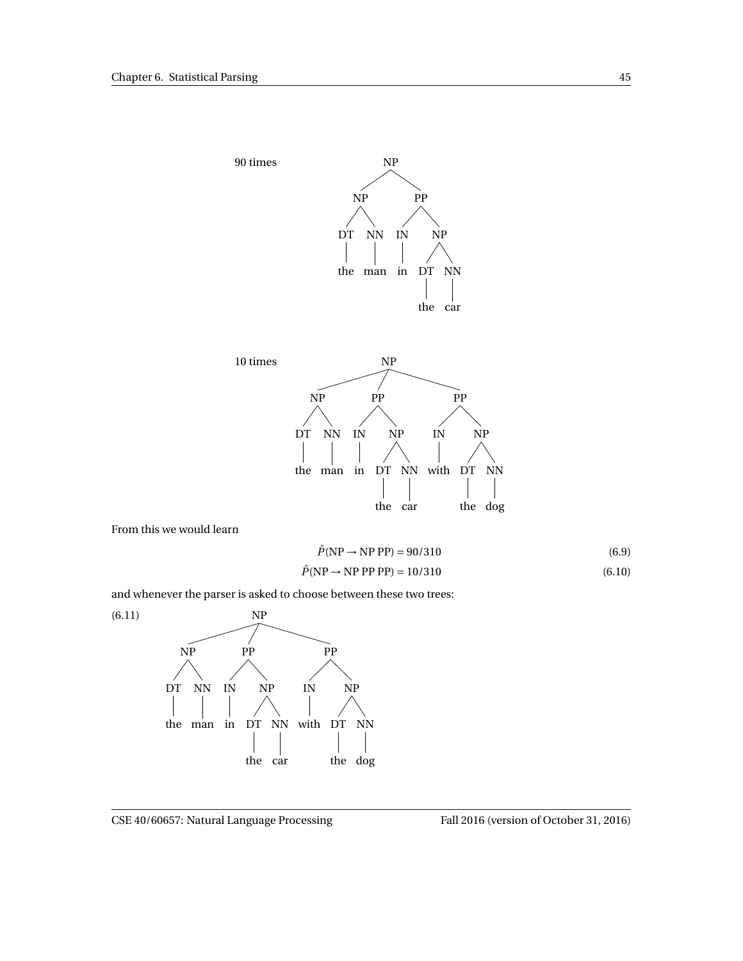



From this we would learn

$$
\hat{P}(\text{NP} \to \text{NP PP}) = 90/310\tag{6.9}
$$

$$
\hat{P}(\text{NP} \to \text{NP PP PP}) = 10/310\tag{6.10}
$$

and whenever the parser is asked to choose between these two trees:

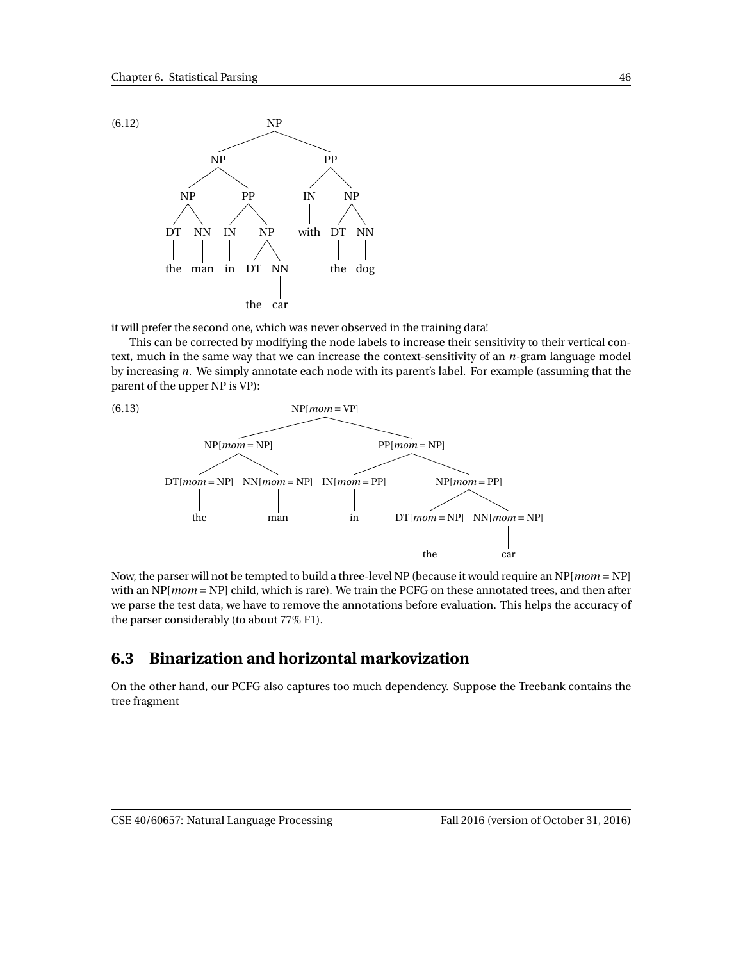

it will prefer the second one, which was never observed in the training data!

This can be corrected by modifying the node labels to increase their sensitivity to their vertical context, much in the same way that we can increase the context-sensitivity of an *n*-gram language model by increasing *n*. We simply annotate each node with its parent's label. For example (assuming that the parent of the upper NP is VP):



Now, the parser will not be tempted to build a three-level NP (because it would require an NP[*mom* = NP] with an NP[*mom* = NP] child, which is rare). We train the PCFG on these annotated trees, and then after we parse the test data, we have to remove the annotations before evaluation. This helps the accuracy of the parser considerably (to about 77% F1).

# **6.3 Binarization and horizontal markovization**

On the other hand, our PCFG also captures too much dependency. Suppose the Treebank contains the tree fragment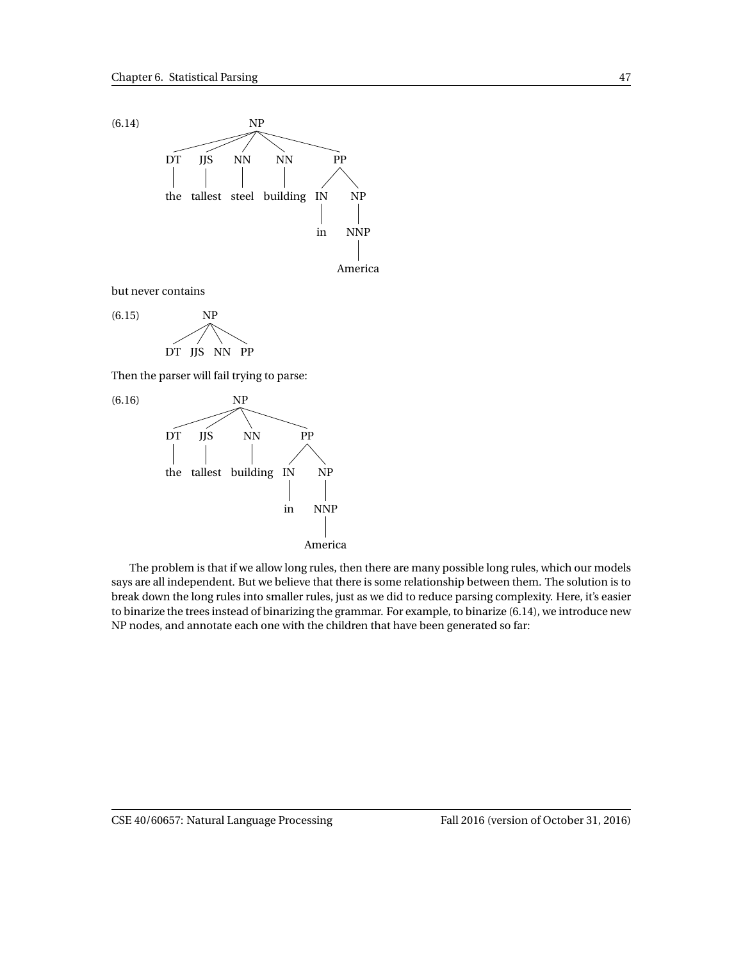

but never contains



Then the parser will fail trying to parse:



The problem is that if we allow long rules, then there are many possible long rules, which our models says are all independent. But we believe that there is some relationship between them. The solution is to break down the long rules into smaller rules, just as we did to reduce parsing complexity. Here, it's easier to binarize the trees instead of binarizing the grammar. For example, to binarize (6.14), we introduce new NP nodes, and annotate each one with the children that have been generated so far: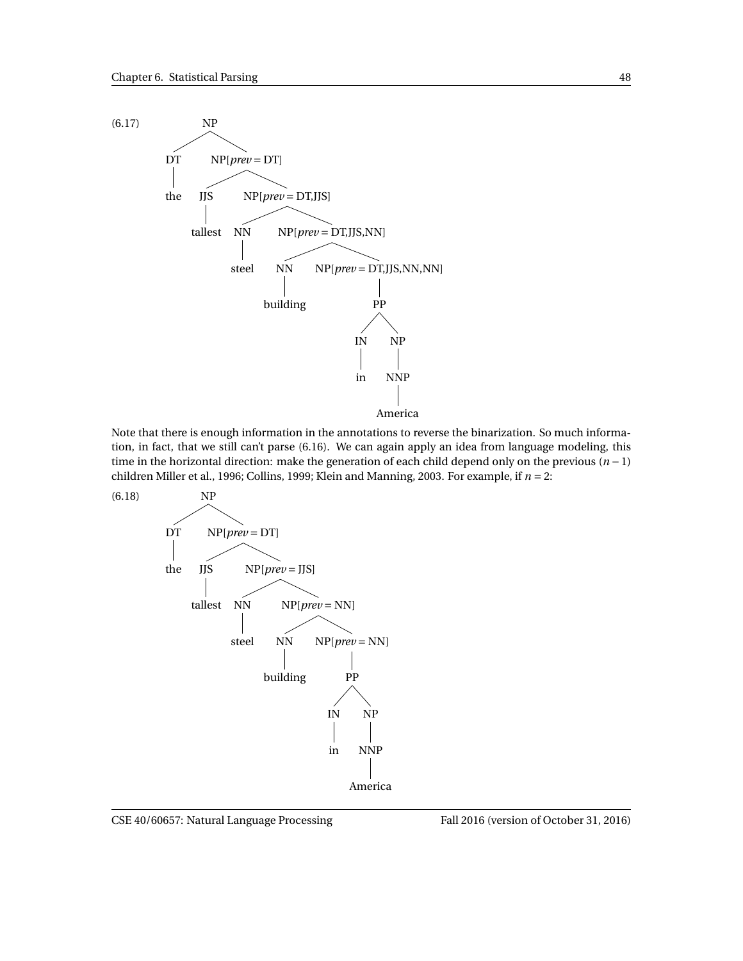

Note that there is enough information in the annotations to reverse the binarization. So much information, in fact, that we still can't parse (6.16). We can again apply an idea from language modeling, this time in the horizontal direction: make the generation of each child depend only on the previous (*n* − 1) children Miller et al., 1996; Collins, 1999; Klein and Manning, 2003. For example, if *n* = 2:

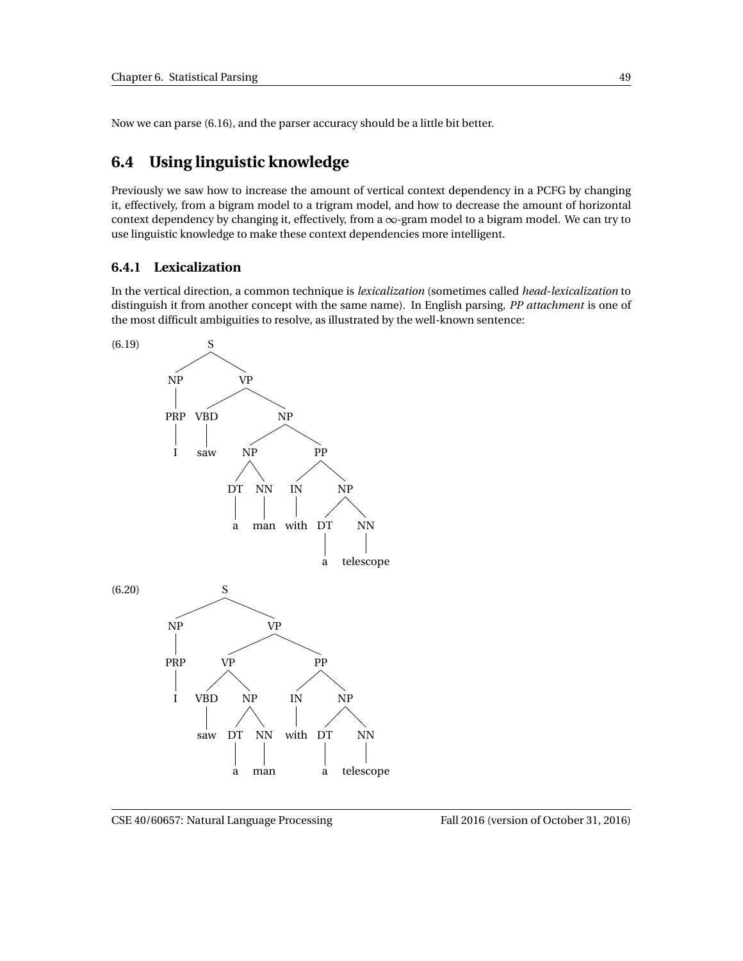Now we can parse (6.16), and the parser accuracy should be a little bit better.

# **6.4 Using linguistic knowledge**

Previously we saw how to increase the amount of vertical context dependency in a PCFG by changing it, effectively, from a bigram model to a trigram model, and how to decrease the amount of horizontal context dependency by changing it, effectively, from a  $\infty$ -gram model to a bigram model. We can try to use linguistic knowledge to make these context dependencies more intelligent.

#### **6.4.1 Lexicalization**

In the vertical direction, a common technique is *lexicalization* (sometimes called *head-lexicalization* to distinguish it from another concept with the same name). In English parsing, *PP attachment* is one of the most difficult ambiguities to resolve, as illustrated by the well-known sentence:

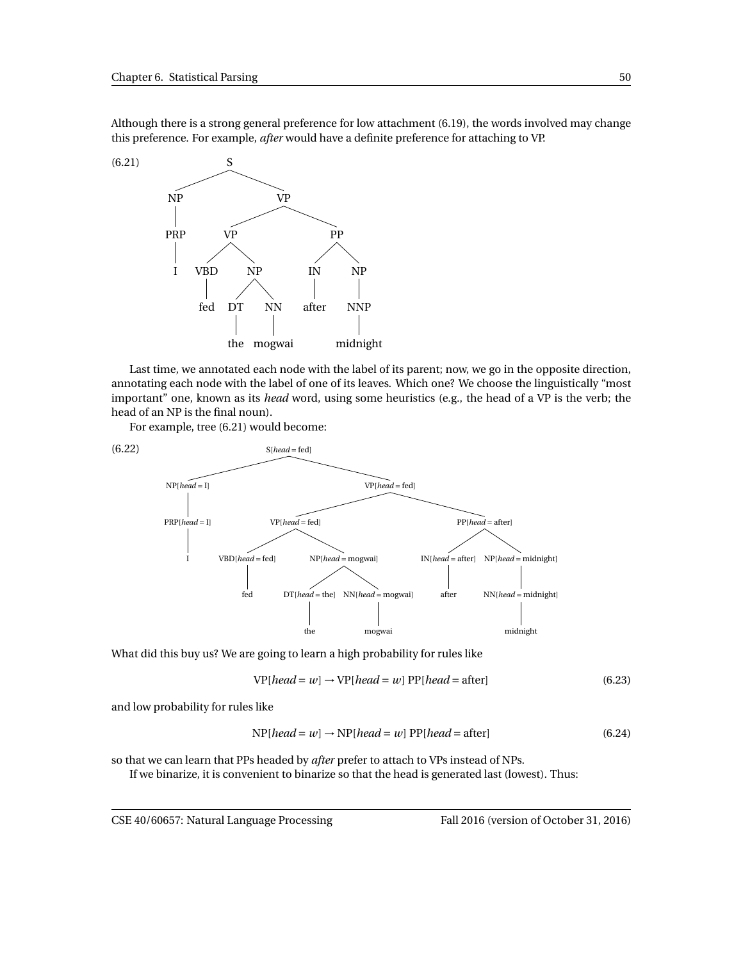Although there is a strong general preference for low attachment (6.19), the words involved may change this preference. For example, *after* would have a definite preference for attaching to VP.



Last time, we annotated each node with the label of its parent; now, we go in the opposite direction, annotating each node with the label of one of its leaves. Which one? We choose the linguistically "most important" one, known as its *head* word, using some heuristics (e.g., the head of a VP is the verb; the head of an NP is the final noun).

For example, tree (6.21) would become:



What did this buy us? We are going to learn a high probability for rules like

$$
VP[head = w] \rightarrow VP[head = w] PP[head = after]
$$
\n(6.23)

and low probability for rules like

$$
NP[head = w] \rightarrow NP[head = w] PP[head = after]
$$
\n(6.24)

so that we can learn that PPs headed by *after* prefer to attach to VPs instead of NPs. If we binarize, it is convenient to binarize so that the head is generated last (lowest). Thus:

CSE 40/60657: Natural Language Processing Fall 2016 (version of October 31, 2016)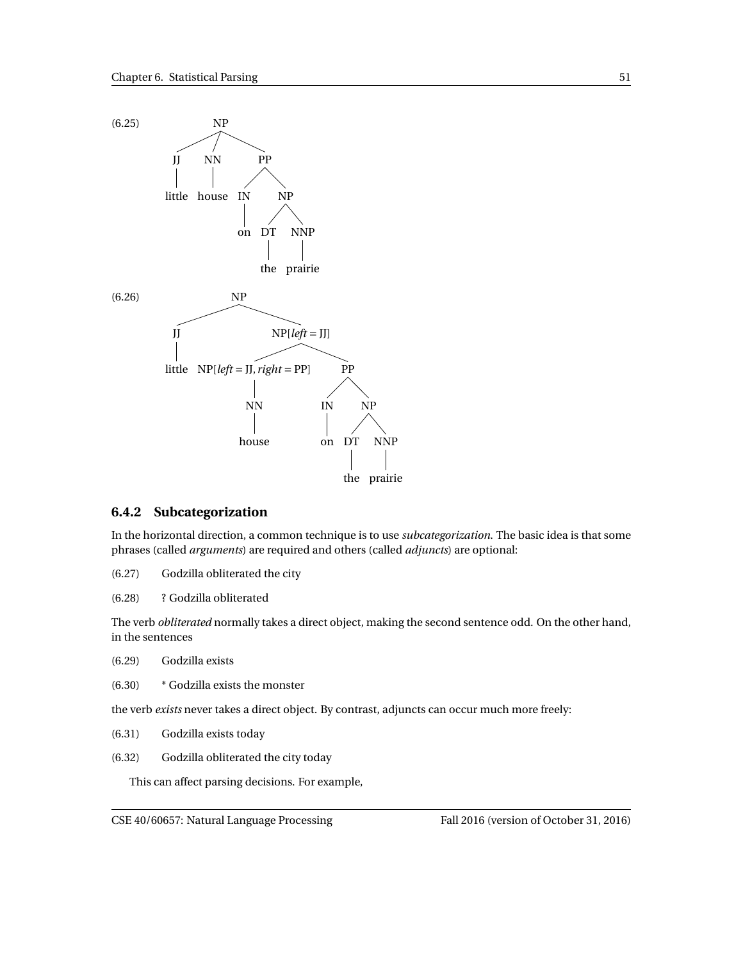

#### **6.4.2 Subcategorization**

In the horizontal direction, a common technique is to use *subcategorization*. The basic idea is that some phrases (called *arguments*) are required and others (called *adjuncts*) are optional:

- (6.27) Godzilla obliterated the city
- (6.28) ? Godzilla obliterated

The verb *obliterated* normally takes a direct object, making the second sentence odd. On the other hand, in the sentences

- (6.29) Godzilla exists
- (6.30) \* Godzilla exists the monster

the verb *exists* never takes a direct object. By contrast, adjuncts can occur much more freely:

- (6.31) Godzilla exists today
- (6.32) Godzilla obliterated the city today

This can affect parsing decisions. For example,

CSE 40/60657: Natural Language Processing Fall 2016 (version of October 31, 2016)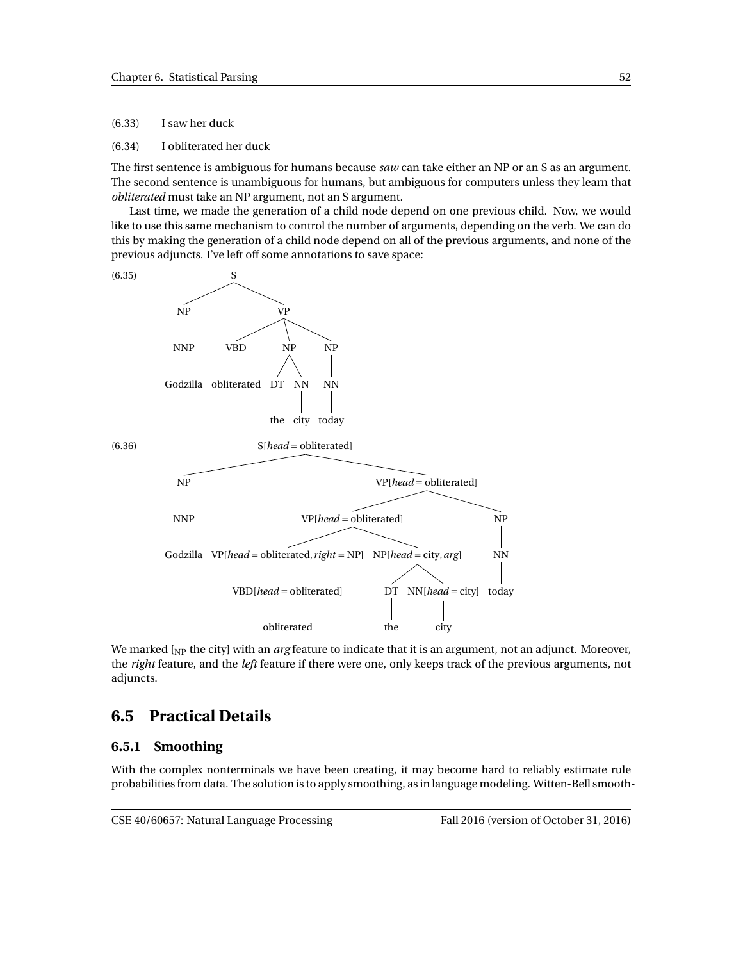(6.33) I saw her duck

(6.34) I obliterated her duck

The first sentence is ambiguous for humans because *saw* can take either an NP or an S as an argument. The second sentence is unambiguous for humans, but ambiguous for computers unless they learn that *obliterated* must take an NP argument, not an S argument.

Last time, we made the generation of a child node depend on one previous child. Now, we would like to use this same mechanism to control the number of arguments, depending on the verb. We can do this by making the generation of a child node depend on all of the previous arguments, and none of the previous adjuncts. I've left off some annotations to save space:



We marked [NP the city] with an *arg* feature to indicate that it is an argument, not an adjunct. Moreover, the *right* feature, and the *left* feature if there were one, only keeps track of the previous arguments, not adjuncts.

## **6.5 Practical Details**

#### **6.5.1 Smoothing**

With the complex nonterminals we have been creating, it may become hard to reliably estimate rule probabilities from data. The solution is to apply smoothing, as in language modeling. Witten-Bell smooth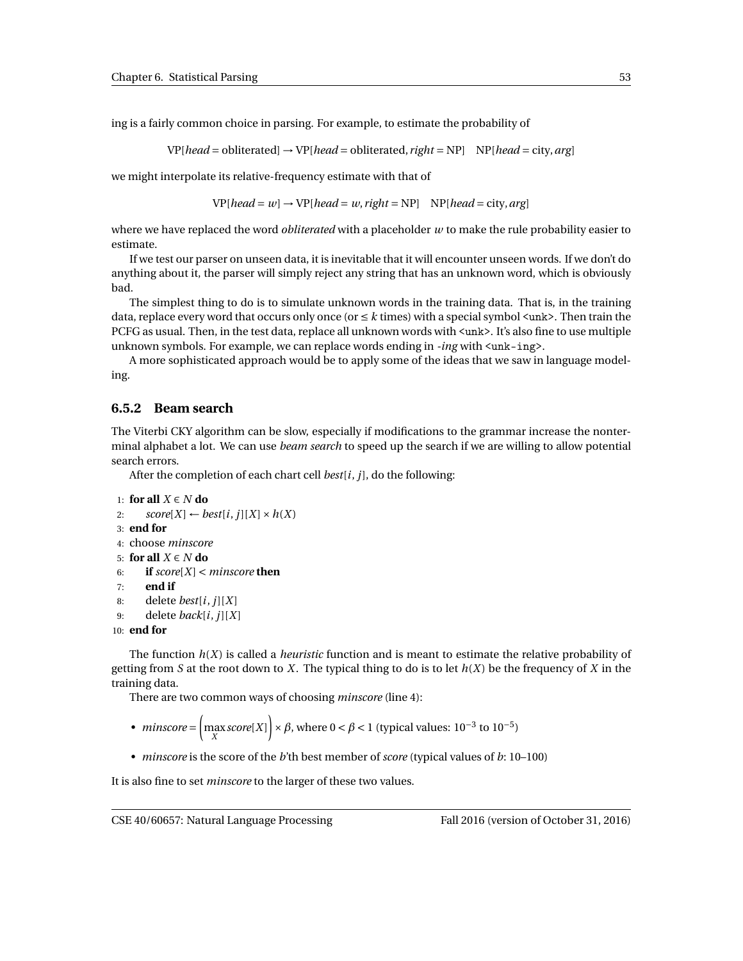ing is a fairly common choice in parsing. For example, to estimate the probability of

VP[*head* = obliterated] → VP[*head* = obliterated, *right* = NP] NP[*head* = city,*arg*]

we might interpolate its relative-frequency estimate with that of

 $VP[head = w] \rightarrow VP[head = w, right = NP]$   $NP[head = city, arg]$ 

where we have replaced the word *obliterated* with a placeholder *w* to make the rule probability easier to estimate.

If we test our parser on unseen data, it is inevitable that it will encounter unseen words. If we don't do anything about it, the parser will simply reject any string that has an unknown word, which is obviously bad.

The simplest thing to do is to simulate unknown words in the training data. That is, in the training data, replace every word that occurs only once (or  $\leq k$  times) with a special symbol  $\langle$ unk>. Then train the PCFG as usual. Then, in the test data, replace all unknown words with <unk>. It's also fine to use multiple unknown symbols. For example, we can replace words ending in *-ing* with  $\langle$ unk-ing>.

A more sophisticated approach would be to apply some of the ideas that we saw in language modeling.

#### **6.5.2 Beam search**

The Viterbi CKY algorithm can be slow, especially if modifications to the grammar increase the nonterminal alphabet a lot. We can use *beam search* to speed up the search if we are willing to allow potential search errors.

After the completion of each chart cell *best*[*i*, *j*], do the following:

```
1: for all X ∈ N do
2: score[X] \leftarrow best[i, j][X] \times h(X)3: end for
4: choose minscore
5: for all X ∈ N do
6: if score[X] < minscore then
7: end if
8: delete best[i, j][X]
9: delete back[i, j][X]
10: end for
```
The function *h*(*X*) is called a *heuristic* function and is meant to estimate the relative probability of getting from *S* at the root down to *X*. The typical thing to do is to let  $h(X)$  be the frequency of *X* in the training data.

There are two common ways of choosing *minscore* (line 4):

- *minscore* =  $\left(\max_{X} score[X]\right) \times \beta$ , where  $0 < \beta < 1$  (typical values:  $10^{-3}$  to  $10^{-5}$ )
- *minscore* is the score of the *b*'th best member of *score* (typical values of *b*: 10–100)

It is also fine to set *minscore* to the larger of these two values.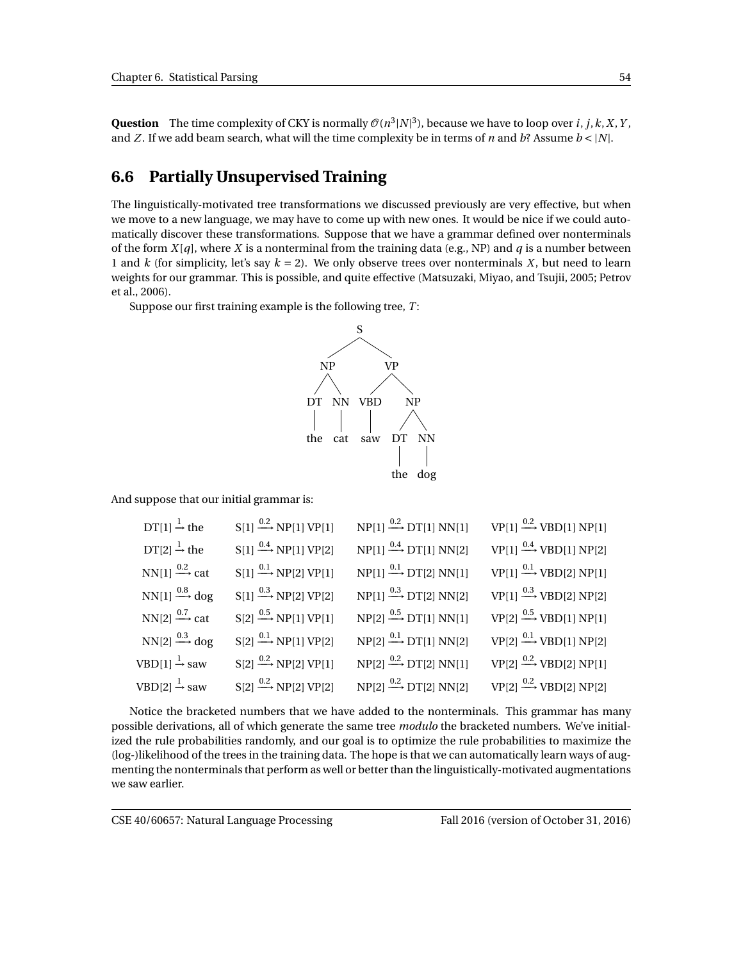**Question** The time complexity of CKY is normally  $\mathcal{O}(n^3|N|^3)$ , because we have to loop over *i*, *j*,*k*,*X*,*Y*, and *Z*. If we add beam search, what will the time complexity be in terms of *n* and *b*? Assume  $b < |N|$ .

## **6.6 Partially Unsupervised Training**

The linguistically-motivated tree transformations we discussed previously are very effective, but when we move to a new language, we may have to come up with new ones. It would be nice if we could automatically discover these transformations. Suppose that we have a grammar defined over nonterminals of the form  $X[q]$ , where X is a nonterminal from the training data (e.g., NP) and q is a number between 1 and *k* (for simplicity, let's say  $k = 2$ ). We only observe trees over nonterminals *X*, but need to learn weights for our grammar. This is possible, and quite effective (Matsuzaki, Miyao, and Tsujii, 2005; Petrov et al., 2006).

Suppose our first training example is the following tree, *T* :



And suppose that our initial grammar is:

| $DT[1] \rightarrow$ the                     | $S[1] \xrightarrow{0.2} NP[1] VP[1]$               | $NP[1] \stackrel{0.2}{\longrightarrow} DT[1] NN[1]$ | $VP[1] \xrightarrow{0.2} VBD[1] NP[1]$ |
|---------------------------------------------|----------------------------------------------------|-----------------------------------------------------|----------------------------------------|
| $DT[2] \rightarrow the$                     | $S[1] \xrightarrow{0.4} NP[1] VP[2]$               | $NP[1] \stackrel{0.4}{\longrightarrow} DT[1] NN[2]$ | $VP[1] \xrightarrow{0.4} VBD[1] NP[2]$ |
| NN[1] $\xrightarrow{0.2}$ cat               | $S[1] \xrightarrow{0.1} NP[2] VP[1]$               | $NP[1] \stackrel{0.1}{\longrightarrow} DT[2] NN[1]$ | $VP[1] \xrightarrow{0.1} VBD[2] NP[1]$ |
| $NN[1] \stackrel{0.8}{\longrightarrow}$ dog | $S[1] \stackrel{0.3}{\longrightarrow} NP[2] VP[2]$ | $NP[1] \stackrel{0.3}{\longrightarrow} DT[2] NN[2]$ | $VP[1] \xrightarrow{0.3} VBD[2] NP[2]$ |
| NN[2] $\xrightarrow{0.7}$ cat               | $S[2] \stackrel{0.5}{\longrightarrow} NP[1] VP[1]$ | $NP[2] \stackrel{0.5}{\longrightarrow} DT[1] NN[1]$ | $VP[2] \xrightarrow{0.5} VBD[1] NP[1]$ |
| $NN[2] \xrightarrow{0.3} dog$               | $S[2] \xrightarrow{0.1} NP[1] VP[2]$               | $NP[2] \stackrel{0.1}{\longrightarrow} DT[1] NN[2]$ | $VP[2] \xrightarrow{0.1} VBD[1] NP[2]$ |
| VBD[1] $\stackrel{1}{\rightarrow}$ saw      | $S[2] \stackrel{0.2}{\longrightarrow} NP[2] VP[1]$ | $NP[2] \stackrel{0.2}{\longrightarrow} DT[2] NN[1]$ | $VP[2] \xrightarrow{0.2} VBD[2] NP[1]$ |
| VBD[2] $\stackrel{1}{\rightarrow}$ saw      | $S[2] \xrightarrow{0.2} NP[2] VP[2]$               | $NP[2] \stackrel{0.2}{\longrightarrow} DT[2] NN[2]$ | $VP[2] \xrightarrow{0.2} VBD[2] NP[2]$ |

Notice the bracketed numbers that we have added to the nonterminals. This grammar has many possible derivations, all of which generate the same tree *modulo* the bracketed numbers. We've initialized the rule probabilities randomly, and our goal is to optimize the rule probabilities to maximize the (log-)likelihood of the trees in the training data. The hope is that we can automatically learn ways of augmenting the nonterminals that perform as well or better than the linguistically-motivated augmentations we saw earlier.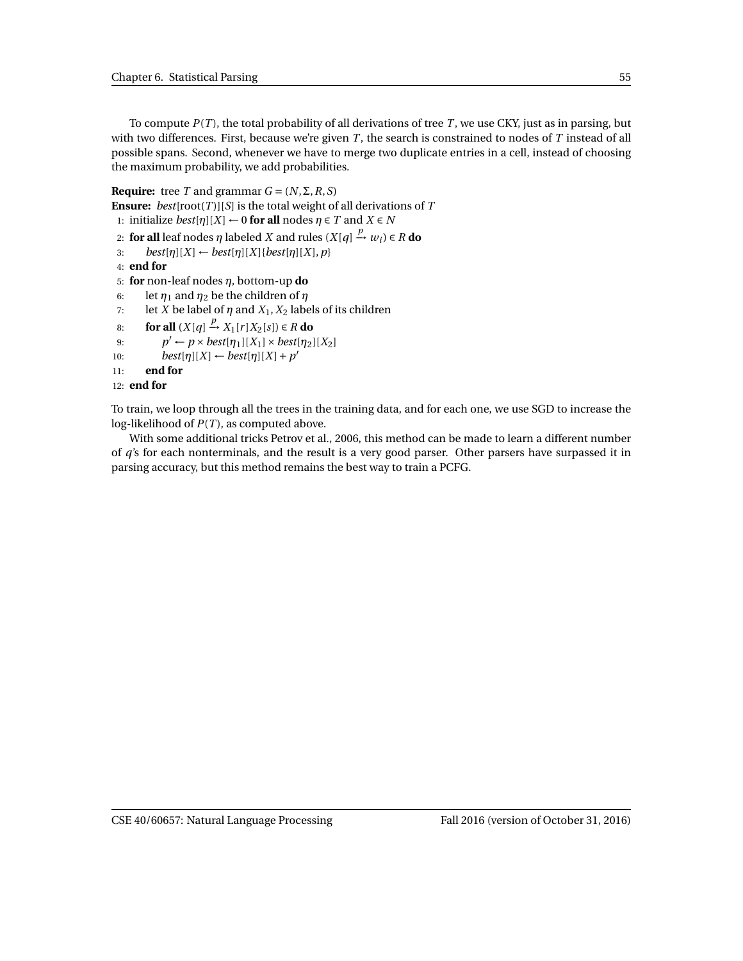To compute *P*(*T* ), the total probability of all derivations of tree *T* , we use CKY, just as in parsing, but with two differences. First, because we're given *T* , the search is constrained to nodes of *T* instead of all possible spans. Second, whenever we have to merge two duplicate entries in a cell, instead of choosing the maximum probability, we add probabilities.

**Require:** tree *T* and grammar  $G = (N, \Sigma, R, S)$ 

**Ensure:**  $best[root(T)][S]$  is the total weight of all derivations of  $T$ 

- 1: initialize *best*[ $\eta$ ][ $X$ ] ← 0 **for all** nodes  $\eta \in T$  and  $X \in N$
- 2: **for all** leaf nodes  $η$  labeled  $X$  and rules  $(X[q] \xrightarrow{p} w_i) \in R$  **do**
- 3: *best*[ $\eta$ ][ $X$ ] ← *best*[ $\eta$ ][ $X$ ]{*best*[ $\eta$ ][ $X$ ],  $p$ }
- 4: **end for**
- 5: **for** non-leaf nodes *η*, bottom-up **do**
- 6: let  $\eta_1$  and  $\eta_2$  be the children of  $\eta$
- 7: let *X* be label of  $\eta$  and  $X_1, X_2$  labels of its children
- 8: **for all**  $(X[q] \xrightarrow{p} X_1[r]X_2[s]) \in R$  **do**
- 9:  $p' \leftarrow p \times best[\eta_1][X_1] \times best[\eta_2][X_2]$
- 10:  $best[\eta][X] \leftarrow best[\eta][X] + p'$
- 11: **end for**

12: **end for**

To train, we loop through all the trees in the training data, and for each one, we use SGD to increase the log-likelihood of *P*(*T* ), as computed above.

With some additional tricks Petrov et al., 2006, this method can be made to learn a different number of *q*'s for each nonterminals, and the result is a very good parser. Other parsers have surpassed it in parsing accuracy, but this method remains the best way to train a PCFG.